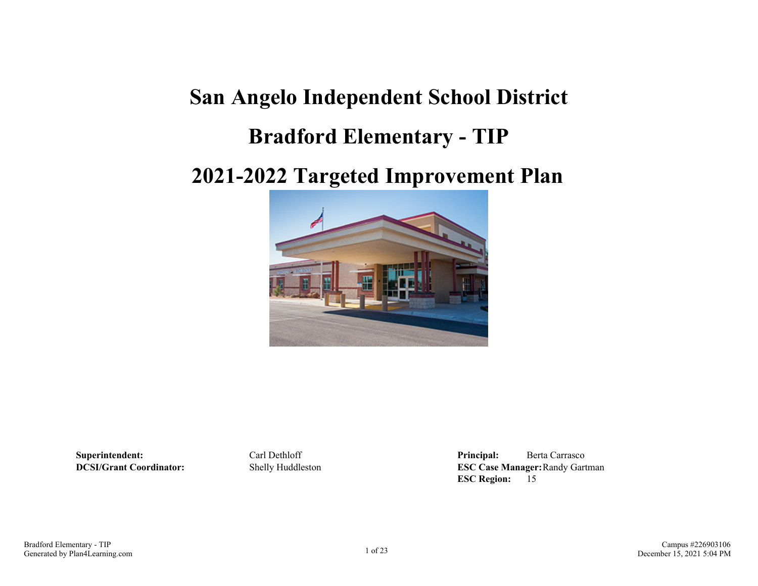# **San Angelo Independent School District**

## **Bradford Elementary - TIP**

## **2021-2022 Targeted Improvement Plan**



**Superintendent:** Carl Dethloff **Principal:** Berta Carrasco **DCSI/Grant Coordinator:** Shelly Huddleston **ESC Case Manager:**Randy Gartman **ESC Region:** 15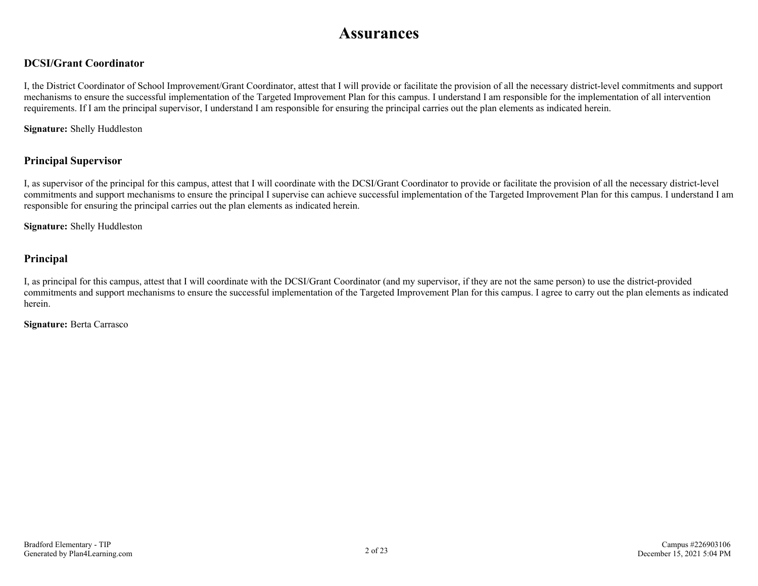## **Assurances**

### **DCSI/Grant Coordinator**

I, the District Coordinator of School Improvement/Grant Coordinator, attest that I will provide or facilitate the provision of all the necessary district-level commitments and support mechanisms to ensure the successful implementation of the Targeted Improvement Plan for this campus. I understand I am responsible for the implementation of all intervention requirements. If I am the principal supervisor, I understand I am responsible for ensuring the principal carries out the plan elements as indicated herein.

**Signature:** Shelly Huddleston

### **Principal Supervisor**

I, as supervisor of the principal for this campus, attest that I will coordinate with the DCSI/Grant Coordinator to provide or facilitate the provision of all the necessary district-level commitments and support mechanisms to ensure the principal I supervise can achieve successful implementation of the Targeted Improvement Plan for this campus. I understand I am responsible for ensuring the principal carries out the plan elements as indicated herein.

**Signature:** Shelly Huddleston

### **Principal**

I, as principal for this campus, attest that I will coordinate with the DCSI/Grant Coordinator (and my supervisor, if they are not the same person) to use the district-provided commitments and support mechanisms to ensure the successful implementation of the Targeted Improvement Plan for this campus. I agree to carry out the plan elements as indicated herein.

**Signature:** Berta Carrasco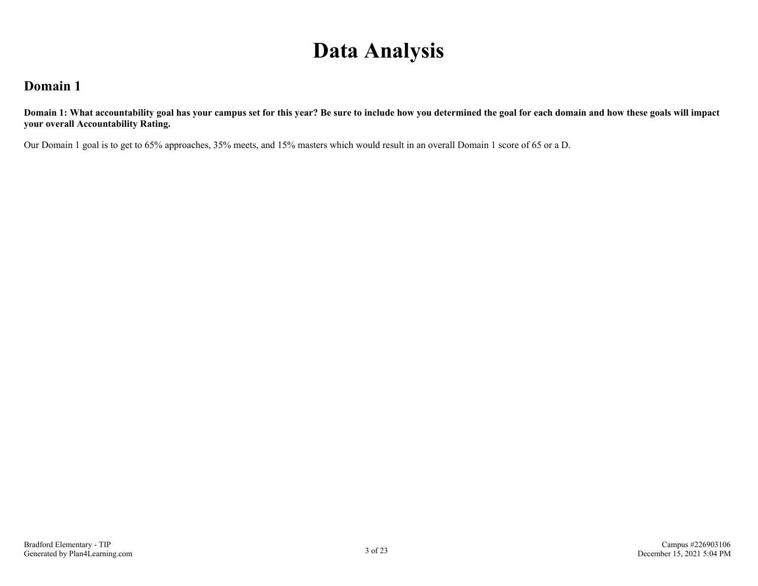# **Data Analysis**

### **Domain 1**

**Domain 1: What accountability goal has your campus set for this year? Be sure to include how you determined the goal for each domain and how these goals will impact your overall Accountability Rating.**

Our Domain 1 goal is to get to 65% approaches, 35% meets, and 15% masters which would result in an overall Domain 1 score of 65 or a D.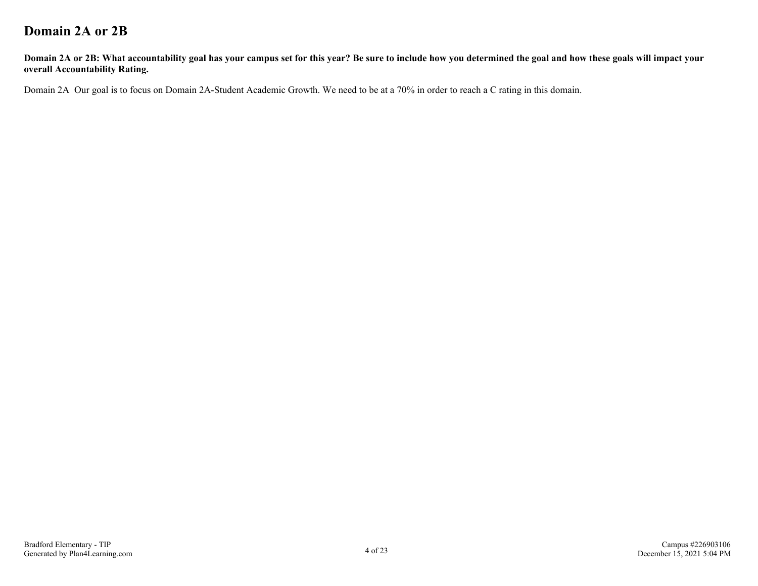## **Domain 2A or 2B**

**Domain 2A or 2B: What accountability goal has your campus set for this year? Be sure to include how you determined the goal and how these goals will impact your overall Accountability Rating.**

Domain 2A Our goal is to focus on Domain 2A-Student Academic Growth. We need to be at a 70% in order to reach a C rating in this domain.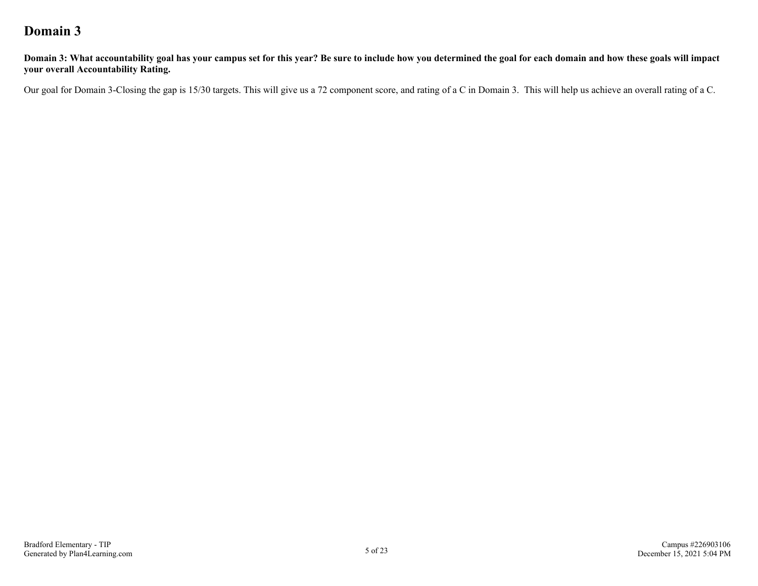## **Domain 3**

**Domain 3: What accountability goal has your campus set for this year? Be sure to include how you determined the goal for each domain and how these goals will impact your overall Accountability Rating.**

Our goal for Domain 3-Closing the gap is 15/30 targets. This will give us a 72 component score, and rating of a C in Domain 3. This will help us achieve an overall rating of a C.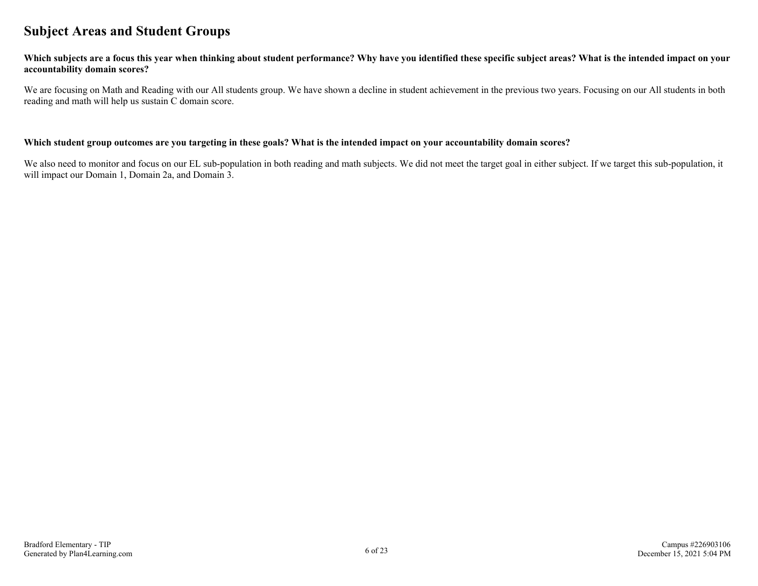### **Subject Areas and Student Groups**

#### **Which subjects are a focus this year when thinking about student performance? Why have you identified these specific subject areas? What is the intended impact on your accountability domain scores?**

We are focusing on Math and Reading with our All students group. We have shown a decline in student achievement in the previous two years. Focusing on our All students in both reading and math will help us sustain C domain score.

#### **Which student group outcomes are you targeting in these goals? What is the intended impact on your accountability domain scores?**

We also need to monitor and focus on our EL sub-population in both reading and math subjects. We did not meet the target goal in either subject. If we target this sub-population, it will impact our Domain 1, Domain 2a, and Domain 3.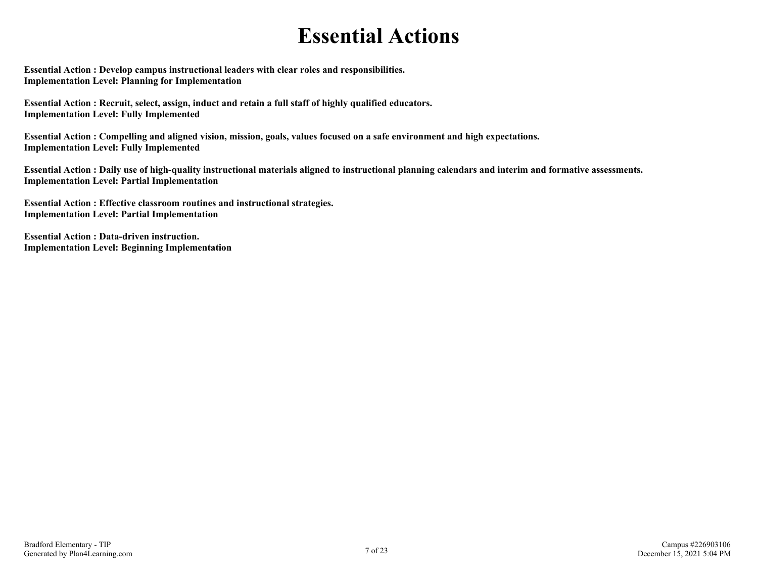# **Essential Actions**

**Essential Action : Develop campus instructional leaders with clear roles and responsibilities. Implementation Level: Planning for Implementation** 

**Essential Action : Recruit, select, assign, induct and retain a full staff of highly qualified educators. Implementation Level: Fully Implemented** 

**Essential Action : Compelling and aligned vision, mission, goals, values focused on a safe environment and high expectations. Implementation Level: Fully Implemented** 

**Essential Action : Daily use of high-quality instructional materials aligned to instructional planning calendars and interim and formative assessments. Implementation Level: Partial Implementation** 

**Essential Action : Effective classroom routines and instructional strategies. Implementation Level: Partial Implementation** 

**Essential Action : Data-driven instruction. Implementation Level: Beginning Implementation**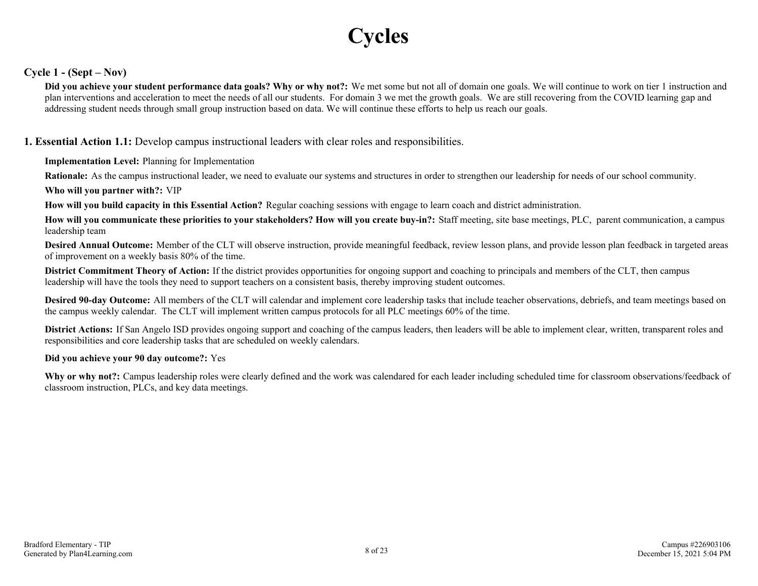# **Cycles**

### **Cycle 1 - (Sept – Nov)**

**Did you achieve your student performance data goals? Why or why not?:** We met some but not all of domain one goals. We will continue to work on tier 1 instruction and plan interventions and acceleration to meet the needs of all our students. For domain 3 we met the growth goals. We are still recovering from the COVID learning gap and addressing student needs through small group instruction based on data. We will continue these efforts to help us reach our goals.

### **1. Essential Action 1.1:** Develop campus instructional leaders with clear roles and responsibilities.

### **Implementation Level:** Planning for Implementation

**Rationale:** As the campus instructional leader, we need to evaluate our systems and structures in order to strengthen our leadership for needs of our school community.

**Who will you partner with?:** VIP

**How will you build capacity in this Essential Action?** Regular coaching sessions with engage to learn coach and district administration.

**How will you communicate these priorities to your stakeholders? How will you create buy-in?:** Staff meeting, site base meetings, PLC, parent communication, a campus leadership team

**Desired Annual Outcome:** Member of the CLT will observe instruction, provide meaningful feedback, review lesson plans, and provide lesson plan feedback in targeted areas of improvement on a weekly basis 80% of the time.

**District Commitment Theory of Action:** If the district provides opportunities for ongoing support and coaching to principals and members of the CLT, then campus leadership will have the tools they need to support teachers on a consistent basis, thereby improving student outcomes.

**Desired 90-day Outcome:** All members of the CLT will calendar and implement core leadership tasks that include teacher observations, debriefs, and team meetings based on the campus weekly calendar. The CLT will implement written campus protocols for all PLC meetings 60% of the time.

**District Actions:** If San Angelo ISD provides ongoing support and coaching of the campus leaders, then leaders will be able to implement clear, written, transparent roles and responsibilities and core leadership tasks that are scheduled on weekly calendars.

### **Did you achieve your 90 day outcome?:** Yes

**Why or why not?:** Campus leadership roles were clearly defined and the work was calendared for each leader including scheduled time for classroom observations/feedback of classroom instruction, PLCs, and key data meetings.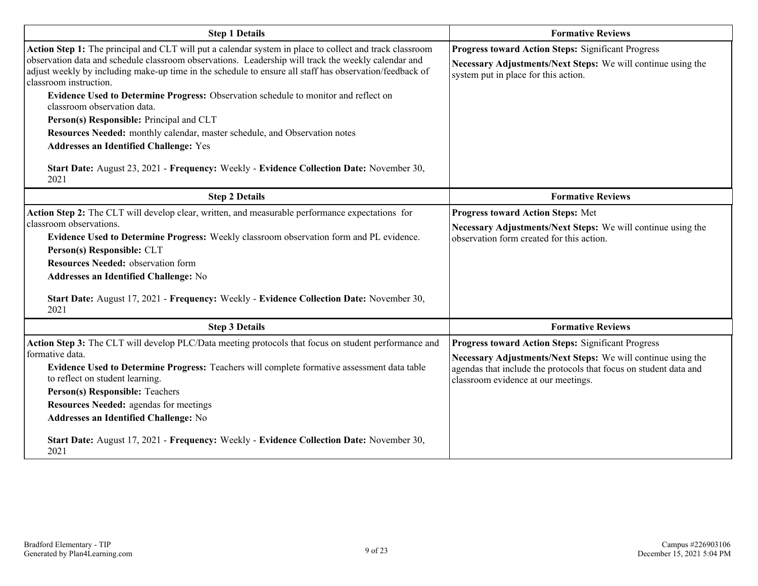| <b>Step 1 Details</b>                                                                                                                                                                                                                                                                                                                                                                                                                                                                                                                                                                                                                                | <b>Formative Reviews</b>                                                                                                                                                                                                       |  |  |  |  |  |
|------------------------------------------------------------------------------------------------------------------------------------------------------------------------------------------------------------------------------------------------------------------------------------------------------------------------------------------------------------------------------------------------------------------------------------------------------------------------------------------------------------------------------------------------------------------------------------------------------------------------------------------------------|--------------------------------------------------------------------------------------------------------------------------------------------------------------------------------------------------------------------------------|--|--|--|--|--|
| Action Step 1: The principal and CLT will put a calendar system in place to collect and track classroom<br>observation data and schedule classroom observations. Leadership will track the weekly calendar and<br>adjust weekly by including make-up time in the schedule to ensure all staff has observation/feedback of<br>classroom instruction.<br>Evidence Used to Determine Progress: Observation schedule to monitor and reflect on<br>classroom observation data.<br>Person(s) Responsible: Principal and CLT<br>Resources Needed: monthly calendar, master schedule, and Observation notes<br><b>Addresses an Identified Challenge: Yes</b> | <b>Progress toward Action Steps: Significant Progress</b><br>Necessary Adjustments/Next Steps: We will continue using the<br>system put in place for this action.                                                              |  |  |  |  |  |
| Start Date: August 23, 2021 - Frequency: Weekly - Evidence Collection Date: November 30,<br>2021                                                                                                                                                                                                                                                                                                                                                                                                                                                                                                                                                     |                                                                                                                                                                                                                                |  |  |  |  |  |
| <b>Step 2 Details</b>                                                                                                                                                                                                                                                                                                                                                                                                                                                                                                                                                                                                                                | <b>Formative Reviews</b>                                                                                                                                                                                                       |  |  |  |  |  |
| Action Step 2: The CLT will develop clear, written, and measurable performance expectations for<br>classroom observations.<br>Evidence Used to Determine Progress: Weekly classroom observation form and PL evidence.<br>Person(s) Responsible: CLT<br><b>Resources Needed: observation form</b><br>Addresses an Identified Challenge: No<br>Start Date: August 17, 2021 - Frequency: Weekly - Evidence Collection Date: November 30,<br>2021                                                                                                                                                                                                        | <b>Progress toward Action Steps: Met</b><br>Necessary Adjustments/Next Steps: We will continue using the<br>observation form created for this action.                                                                          |  |  |  |  |  |
| <b>Step 3 Details</b>                                                                                                                                                                                                                                                                                                                                                                                                                                                                                                                                                                                                                                | <b>Formative Reviews</b>                                                                                                                                                                                                       |  |  |  |  |  |
| Action Step 3: The CLT will develop PLC/Data meeting protocols that focus on student performance and<br>formative data.<br>Evidence Used to Determine Progress: Teachers will complete formative assessment data table<br>to reflect on student learning.<br>Person(s) Responsible: Teachers<br><b>Resources Needed:</b> agendas for meetings<br>Addresses an Identified Challenge: No                                                                                                                                                                                                                                                               | Progress toward Action Steps: Significant Progress<br>Necessary Adjustments/Next Steps: We will continue using the<br>agendas that include the protocols that focus on student data and<br>classroom evidence at our meetings. |  |  |  |  |  |
| Start Date: August 17, 2021 - Frequency: Weekly - Evidence Collection Date: November 30,<br>2021                                                                                                                                                                                                                                                                                                                                                                                                                                                                                                                                                     |                                                                                                                                                                                                                                |  |  |  |  |  |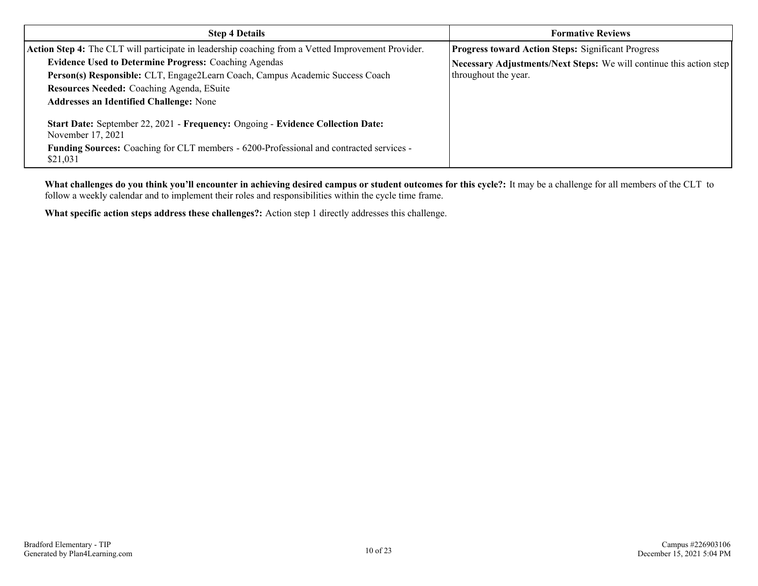| <b>Step 4 Details</b>                                                                                      | <b>Formative Reviews</b>                                            |  |  |  |  |
|------------------------------------------------------------------------------------------------------------|---------------------------------------------------------------------|--|--|--|--|
| Action Step 4: The CLT will participate in leadership coaching from a Vetted Improvement Provider.         | <b>Progress toward Action Steps: Significant Progress</b>           |  |  |  |  |
| <b>Evidence Used to Determine Progress: Coaching Agendas</b>                                               | Necessary Adjustments/Next Steps: We will continue this action step |  |  |  |  |
| Person(s) Responsible: CLT, Engage2Learn Coach, Campus Academic Success Coach                              | throughout the year.                                                |  |  |  |  |
| Resources Needed: Coaching Agenda, ESuite                                                                  |                                                                     |  |  |  |  |
| <b>Addresses an Identified Challenge: None</b>                                                             |                                                                     |  |  |  |  |
| Start Date: September 22, 2021 - Frequency: Ongoing - Evidence Collection Date:<br>November 17, 2021       |                                                                     |  |  |  |  |
| <b>Funding Sources:</b> Coaching for CLT members - 6200-Professional and contracted services -<br>\$21,031 |                                                                     |  |  |  |  |

**What challenges do you think you'll encounter in achieving desired campus or student outcomes for this cycle?:** It may be a challenge for all members of the CLT to follow a weekly calendar and to implement their roles and responsibilities within the cycle time frame.

**What specific action steps address these challenges?:** Action step 1 directly addresses this challenge.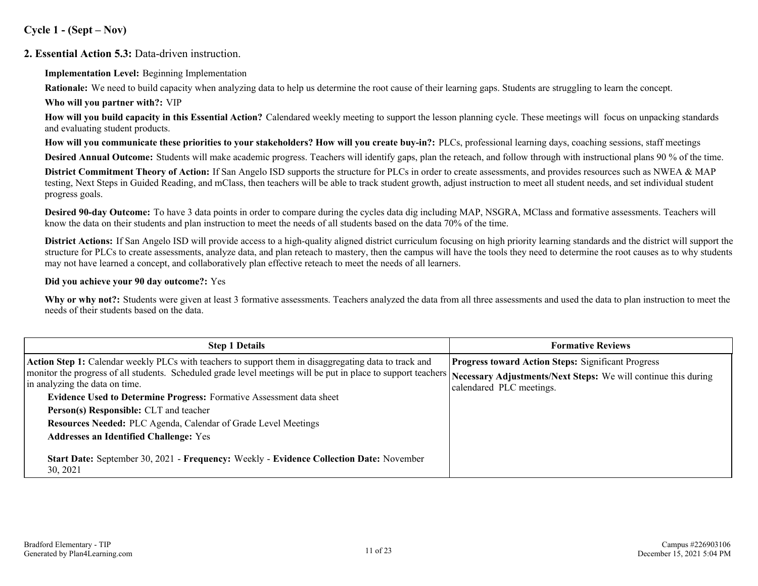**Cycle 1 - (Sept – Nov)**

### **2. Essential Action 5.3:** Data-driven instruction.

**Implementation Level:** Beginning Implementation

**Rationale:** We need to build capacity when analyzing data to help us determine the root cause of their learning gaps. Students are struggling to learn the concept.

**Who will you partner with?:** VIP

**How will you build capacity in this Essential Action?** Calendared weekly meeting to support the lesson planning cycle. These meetings will focus on unpacking standards and evaluating student products.

**How will you communicate these priorities to your stakeholders? How will you create buy-in?:** PLCs, professional learning days, coaching sessions, staff meetings

**Desired Annual Outcome:** Students will make academic progress. Teachers will identify gaps, plan the reteach, and follow through with instructional plans 90 % of the time.

**District Commitment Theory of Action:** If San Angelo ISD supports the structure for PLCs in order to create assessments, and provides resources such as NWEA & MAP testing, Next Steps in Guided Reading, and mClass, then teachers will be able to track student growth, adjust instruction to meet all student needs, and set individual student progress goals.

**Desired 90-day Outcome:** To have 3 data points in order to compare during the cycles data dig including MAP, NSGRA, MClass and formative assessments. Teachers will know the data on their students and plan instruction to meet the needs of all students based on the data 70% of the time.

**District Actions:** If San Angelo ISD will provide access to a high-quality aligned district curriculum focusing on high priority learning standards and the district will support the structure for PLCs to create assessments, analyze data, and plan reteach to mastery, then the campus will have the tools they need to determine the root causes as to why students may not have learned a concept, and collaboratively plan effective reteach to meet the needs of all learners.

### **Did you achieve your 90 day outcome?:** Yes

Why or why not?: Students were given at least 3 formative assessments. Teachers analyzed the data from all three assessments and used the data to plan instruction to meet the needs of their students based on the data.

| <b>Step 1 Details</b>                                                                                                                                                                                          | <b>Formative Reviews</b>                                  |  |  |  |  |  |
|----------------------------------------------------------------------------------------------------------------------------------------------------------------------------------------------------------------|-----------------------------------------------------------|--|--|--|--|--|
| Action Step 1: Calendar weekly PLCs with teachers to support them in disaggregating data to track and                                                                                                          | <b>Progress toward Action Steps: Significant Progress</b> |  |  |  |  |  |
| monitor the progress of all students. Scheduled grade level meetings will be put in place to support teachers Necessary Adjustments/Next Steps: We will continue this during<br>in analyzing the data on time. | calendared PLC meetings.                                  |  |  |  |  |  |
| <b>Evidence Used to Determine Progress:</b> Formative Assessment data sheet                                                                                                                                    |                                                           |  |  |  |  |  |
| <b>Person(s) Responsible:</b> CLT and teacher                                                                                                                                                                  |                                                           |  |  |  |  |  |
| Resources Needed: PLC Agenda, Calendar of Grade Level Meetings                                                                                                                                                 |                                                           |  |  |  |  |  |
| <b>Addresses an Identified Challenge: Yes</b>                                                                                                                                                                  |                                                           |  |  |  |  |  |
| Start Date: September 30, 2021 - Frequency: Weekly - Evidence Collection Date: November<br>30, 2021                                                                                                            |                                                           |  |  |  |  |  |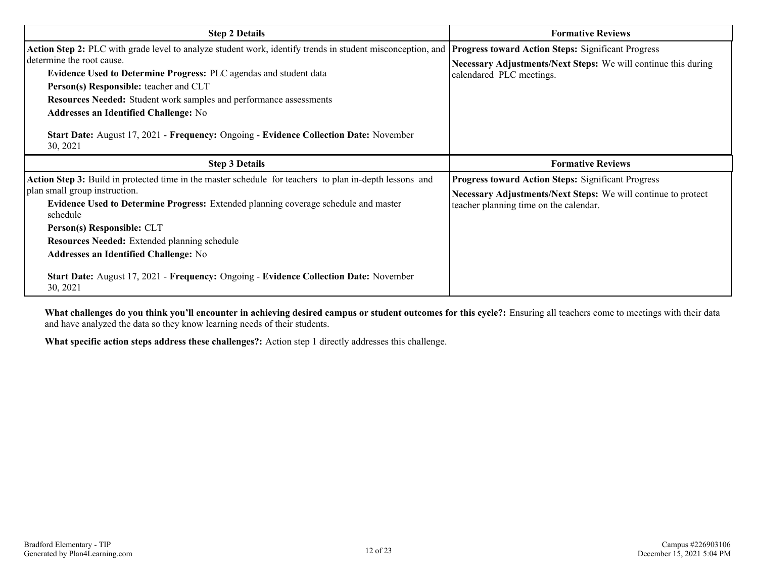| <b>Step 2 Details</b>                                                                                                                                                                                                                                                                                                                                                                                                                                                                           | <b>Formative Reviews</b>                                                                                                                                             |  |  |  |
|-------------------------------------------------------------------------------------------------------------------------------------------------------------------------------------------------------------------------------------------------------------------------------------------------------------------------------------------------------------------------------------------------------------------------------------------------------------------------------------------------|----------------------------------------------------------------------------------------------------------------------------------------------------------------------|--|--|--|
| Action Step 2: PLC with grade level to analyze student work, identify trends in student misconception, and<br>determine the root cause.<br><b>Evidence Used to Determine Progress: PLC agendas and student data</b><br>Person(s) Responsible: teacher and CLT<br><b>Resources Needed:</b> Student work samples and performance assessments<br><b>Addresses an Identified Challenge: No</b><br>Start Date: August 17, 2021 - Frequency: Ongoing - Evidence Collection Date: November<br>30, 2021 | <b>Progress toward Action Steps: Significant Progress</b><br>Necessary Adjustments/Next Steps: We will continue this during<br>calendared PLC meetings.              |  |  |  |
| <b>Step 3 Details</b>                                                                                                                                                                                                                                                                                                                                                                                                                                                                           | <b>Formative Reviews</b>                                                                                                                                             |  |  |  |
| Action Step 3: Build in protected time in the master schedule for teachers to plan in-depth lessons and<br>plan small group instruction.<br>Evidence Used to Determine Progress: Extended planning coverage schedule and master<br>schedule<br>Person(s) Responsible: CLT                                                                                                                                                                                                                       | <b>Progress toward Action Steps: Significant Progress</b><br>Necessary Adjustments/Next Steps: We will continue to protect<br>teacher planning time on the calendar. |  |  |  |
| <b>Resources Needed:</b> Extended planning schedule<br><b>Addresses an Identified Challenge: No</b><br>Start Date: August 17, 2021 - Frequency: Ongoing - Evidence Collection Date: November<br>30, 2021                                                                                                                                                                                                                                                                                        |                                                                                                                                                                      |  |  |  |

**What challenges do you think you'll encounter in achieving desired campus or student outcomes for this cycle?:** Ensuring all teachers come to meetings with their data and have analyzed the data so they know learning needs of their students.

**What specific action steps address these challenges?:** Action step 1 directly addresses this challenge.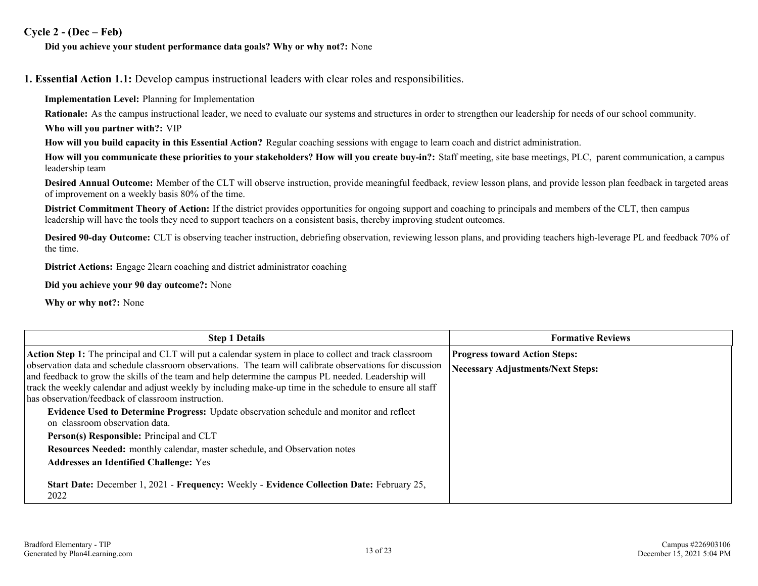### **Cycle 2 - (Dec – Feb)**

### **Did you achieve your student performance data goals? Why or why not?:** None

**1. Essential Action 1.1:** Develop campus instructional leaders with clear roles and responsibilities.

**Implementation Level:** Planning for Implementation

**Rationale:** As the campus instructional leader, we need to evaluate our systems and structures in order to strengthen our leadership for needs of our school community.

**Who will you partner with?:** VIP

**How will you build capacity in this Essential Action?** Regular coaching sessions with engage to learn coach and district administration.

**How will you communicate these priorities to your stakeholders? How will you create buy-in?:** Staff meeting, site base meetings, PLC, parent communication, a campus leadership team

**Desired Annual Outcome:** Member of the CLT will observe instruction, provide meaningful feedback, review lesson plans, and provide lesson plan feedback in targeted areas of improvement on a weekly basis 80% of the time.

**District Commitment Theory of Action:** If the district provides opportunities for ongoing support and coaching to principals and members of the CLT, then campus leadership will have the tools they need to support teachers on a consistent basis, thereby improving student outcomes.

**Desired 90-day Outcome:** CLT is observing teacher instruction, debriefing observation, reviewing lesson plans, and providing teachers high-leverage PL and feedback 70% of the time.

**District Actions:** Engage 2learn coaching and district administrator coaching

**Did you achieve your 90 day outcome?:** None

**Why or why not?:** None

| <b>Step 1 Details</b>                                                                                                                                                                                             | <b>Formative Reviews</b>             |
|-------------------------------------------------------------------------------------------------------------------------------------------------------------------------------------------------------------------|--------------------------------------|
| Action Step 1: The principal and CLT will put a calendar system in place to collect and track classroom                                                                                                           | <b>Progress toward Action Steps:</b> |
| observation data and schedule classroom observations. The team will calibrate observations for discussion<br>and feedback to grow the skills of the team and help determine the campus PL needed. Leadership will | Necessary Adjustments/Next Steps:    |
| track the weekly calendar and adjust weekly by including make-up time in the schedule to ensure all staff                                                                                                         |                                      |
| has observation/feedback of classroom instruction.                                                                                                                                                                |                                      |
| Evidence Used to Determine Progress: Update observation schedule and monitor and reflect                                                                                                                          |                                      |
| on classroom observation data.                                                                                                                                                                                    |                                      |
| Person(s) Responsible: Principal and CLT                                                                                                                                                                          |                                      |
| Resources Needed: monthly calendar, master schedule, and Observation notes                                                                                                                                        |                                      |
| <b>Addresses an Identified Challenge: Yes</b>                                                                                                                                                                     |                                      |
|                                                                                                                                                                                                                   |                                      |
| Start Date: December 1, 2021 - Frequency: Weekly - Evidence Collection Date: February 25,                                                                                                                         |                                      |
| 2022                                                                                                                                                                                                              |                                      |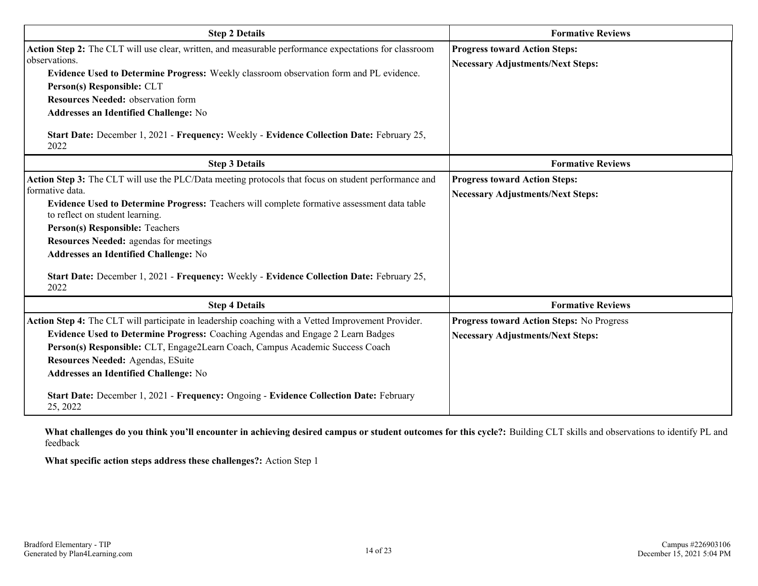| <b>Step 2 Details</b>                                                                                                                                                                                                                                                                                                                                                                                                                                                                              | <b>Formative Reviews</b>                                                              |  |  |  |  |
|----------------------------------------------------------------------------------------------------------------------------------------------------------------------------------------------------------------------------------------------------------------------------------------------------------------------------------------------------------------------------------------------------------------------------------------------------------------------------------------------------|---------------------------------------------------------------------------------------|--|--|--|--|
| Action Step 2: The CLT will use clear, written, and measurable performance expectations for classroom<br>observations.<br>Evidence Used to Determine Progress: Weekly classroom observation form and PL evidence.<br>Person(s) Responsible: CLT<br><b>Resources Needed: observation form</b><br><b>Addresses an Identified Challenge: No</b><br>Start Date: December 1, 2021 - Frequency: Weekly - Evidence Collection Date: February 25,<br>2022                                                  | <b>Progress toward Action Steps:</b><br><b>Necessary Adjustments/Next Steps:</b>      |  |  |  |  |
| <b>Step 3 Details</b>                                                                                                                                                                                                                                                                                                                                                                                                                                                                              | <b>Formative Reviews</b>                                                              |  |  |  |  |
| Action Step 3: The CLT will use the PLC/Data meeting protocols that focus on student performance and<br>formative data.<br>Evidence Used to Determine Progress: Teachers will complete formative assessment data table<br>to reflect on student learning.<br>Person(s) Responsible: Teachers<br><b>Resources Needed:</b> agendas for meetings<br><b>Addresses an Identified Challenge: No</b><br>Start Date: December 1, 2021 - Frequency: Weekly - Evidence Collection Date: February 25,<br>2022 | <b>Progress toward Action Steps:</b><br><b>Necessary Adjustments/Next Steps:</b>      |  |  |  |  |
| <b>Step 4 Details</b>                                                                                                                                                                                                                                                                                                                                                                                                                                                                              | <b>Formative Reviews</b>                                                              |  |  |  |  |
| Action Step 4: The CLT will participate in leadership coaching with a Vetted Improvement Provider.<br>Evidence Used to Determine Progress: Coaching Agendas and Engage 2 Learn Badges<br>Person(s) Responsible: CLT, Engage2Learn Coach, Campus Academic Success Coach<br>Resources Needed: Agendas, ESuite<br><b>Addresses an Identified Challenge: No</b><br>Start Date: December 1, 2021 - Frequency: Ongoing - Evidence Collection Date: February<br>25, 2022                                  | Progress toward Action Steps: No Progress<br><b>Necessary Adjustments/Next Steps:</b> |  |  |  |  |

**What challenges do you think you'll encounter in achieving desired campus or student outcomes for this cycle?:** Building CLT skills and observations to identify PL and feedback

**What specific action steps address these challenges?:** Action Step 1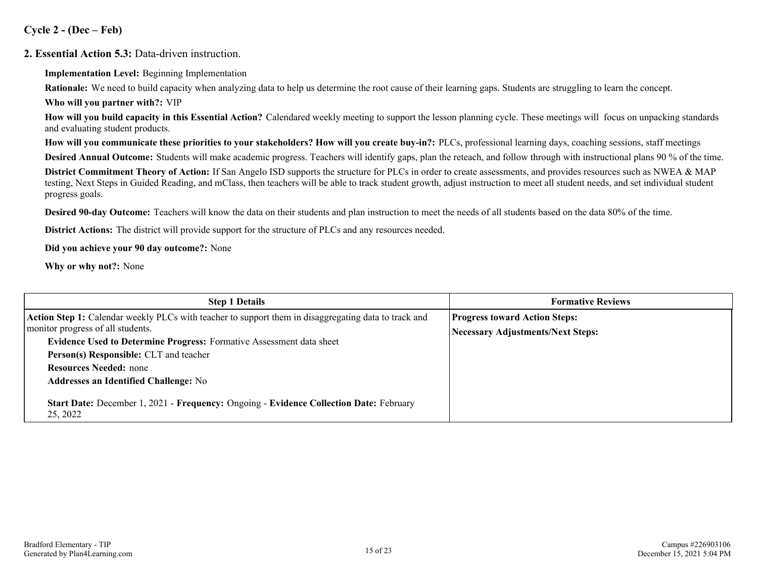**Cycle 2 - (Dec – Feb)**

### **2. Essential Action 5.3:** Data-driven instruction.

**Implementation Level:** Beginning Implementation

**Rationale:** We need to build capacity when analyzing data to help us determine the root cause of their learning gaps. Students are struggling to learn the concept.

**Who will you partner with?:** VIP

**How will you build capacity in this Essential Action?** Calendared weekly meeting to support the lesson planning cycle. These meetings will focus on unpacking standards and evaluating student products.

**How will you communicate these priorities to your stakeholders? How will you create buy-in?:** PLCs, professional learning days, coaching sessions, staff meetings

**Desired Annual Outcome:** Students will make academic progress. Teachers will identify gaps, plan the reteach, and follow through with instructional plans 90 % of the time.

**District Commitment Theory of Action:** If San Angelo ISD supports the structure for PLCs in order to create assessments, and provides resources such as NWEA & MAP testing, Next Steps in Guided Reading, and mClass, then teachers will be able to track student growth, adjust instruction to meet all student needs, and set individual student progress goals.

**Desired 90-day Outcome:** Teachers will know the data on their students and plan instruction to meet the needs of all students based on the data 80% of the time.

**District Actions:** The district will provide support for the structure of PLCs and any resources needed.

**Did you achieve your 90 day outcome?:** None

**Why or why not?:** None

| <b>Step 1 Details</b>                                                                                                                                                                                                                                                                                                                               | <b>Formative Reviews</b>                                                         |  |  |  |  |
|-----------------------------------------------------------------------------------------------------------------------------------------------------------------------------------------------------------------------------------------------------------------------------------------------------------------------------------------------------|----------------------------------------------------------------------------------|--|--|--|--|
| Action Step 1: Calendar weekly PLCs with teacher to support them in disaggregating data to track and<br>monitor progress of all students.<br><b>Evidence Used to Determine Progress:</b> Formative Assessment data sheet<br>Person(s) Responsible: CLT and teacher<br><b>Resources Needed: none</b><br><b>Addresses an Identified Challenge: No</b> | <b>Progress toward Action Steps:</b><br><b>Necessary Adjustments/Next Steps:</b> |  |  |  |  |
| Start Date: December 1, 2021 - Frequency: Ongoing - Evidence Collection Date: February<br>25, 2022                                                                                                                                                                                                                                                  |                                                                                  |  |  |  |  |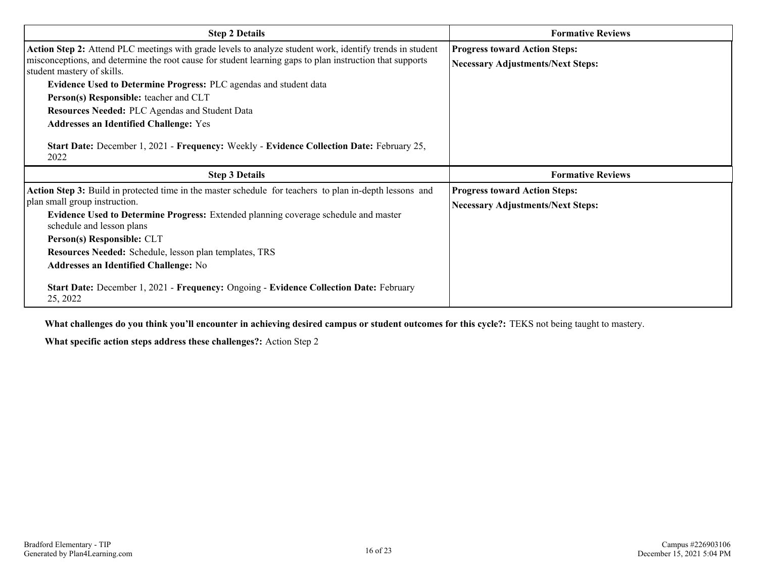| <b>Step 2 Details</b>                                                                                                                  | <b>Formative Reviews</b>                 |  |  |  |  |  |
|----------------------------------------------------------------------------------------------------------------------------------------|------------------------------------------|--|--|--|--|--|
| Action Step 2: Attend PLC meetings with grade levels to analyze student work, identify trends in student                               | <b>Progress toward Action Steps:</b>     |  |  |  |  |  |
| misconceptions, and determine the root cause for student learning gaps to plan instruction that supports<br>student mastery of skills. | <b>Necessary Adjustments/Next Steps:</b> |  |  |  |  |  |
| Evidence Used to Determine Progress: PLC agendas and student data                                                                      |                                          |  |  |  |  |  |
| Person(s) Responsible: teacher and CLT                                                                                                 |                                          |  |  |  |  |  |
| Resources Needed: PLC Agendas and Student Data                                                                                         |                                          |  |  |  |  |  |
| <b>Addresses an Identified Challenge: Yes</b>                                                                                          |                                          |  |  |  |  |  |
| Start Date: December 1, 2021 - Frequency: Weekly - Evidence Collection Date: February 25,<br>2022                                      |                                          |  |  |  |  |  |
|                                                                                                                                        |                                          |  |  |  |  |  |
| <b>Step 3 Details</b>                                                                                                                  | <b>Formative Reviews</b>                 |  |  |  |  |  |
| Action Step 3: Build in protected time in the master schedule for teachers to plan in-depth lessons and                                | <b>Progress toward Action Steps:</b>     |  |  |  |  |  |
| plan small group instruction.                                                                                                          | <b>Necessary Adjustments/Next Steps:</b> |  |  |  |  |  |
| <b>Evidence Used to Determine Progress:</b> Extended planning coverage schedule and master<br>schedule and lesson plans                |                                          |  |  |  |  |  |
| Person(s) Responsible: CLT                                                                                                             |                                          |  |  |  |  |  |
| Resources Needed: Schedule, lesson plan templates, TRS                                                                                 |                                          |  |  |  |  |  |
| <b>Addresses an Identified Challenge: No</b>                                                                                           |                                          |  |  |  |  |  |

**What challenges do you think you'll encounter in achieving desired campus or student outcomes for this cycle?:** TEKS not being taught to mastery.

**What specific action steps address these challenges?:** Action Step 2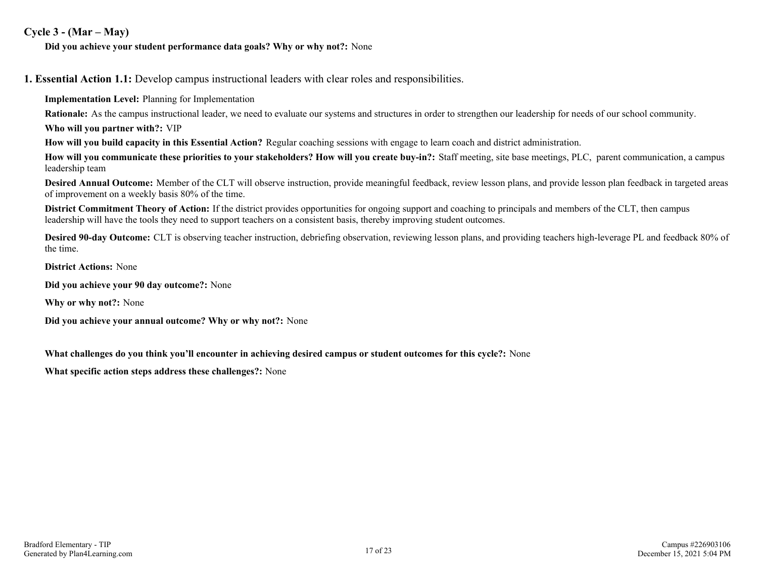### **Cycle 3 - (Mar – May)**

### **Did you achieve your student performance data goals? Why or why not?:** None

**1. Essential Action 1.1:** Develop campus instructional leaders with clear roles and responsibilities.

**Implementation Level:** Planning for Implementation

**Rationale:** As the campus instructional leader, we need to evaluate our systems and structures in order to strengthen our leadership for needs of our school community.

**Who will you partner with?:** VIP

**How will you build capacity in this Essential Action?** Regular coaching sessions with engage to learn coach and district administration.

**How will you communicate these priorities to your stakeholders? How will you create buy-in?:** Staff meeting, site base meetings, PLC, parent communication, a campus leadership team

**Desired Annual Outcome:** Member of the CLT will observe instruction, provide meaningful feedback, review lesson plans, and provide lesson plan feedback in targeted areas of improvement on a weekly basis 80% of the time.

**District Commitment Theory of Action:** If the district provides opportunities for ongoing support and coaching to principals and members of the CLT, then campus leadership will have the tools they need to support teachers on a consistent basis, thereby improving student outcomes.

**Desired 90-day Outcome:** CLT is observing teacher instruction, debriefing observation, reviewing lesson plans, and providing teachers high-leverage PL and feedback 80% of the time.

**District Actions:** None

**Did you achieve your 90 day outcome?:** None

**Why or why not?:** None

**Did you achieve your annual outcome? Why or why not?:** None

**What challenges do you think you'll encounter in achieving desired campus or student outcomes for this cycle?:** None

**What specific action steps address these challenges?:** None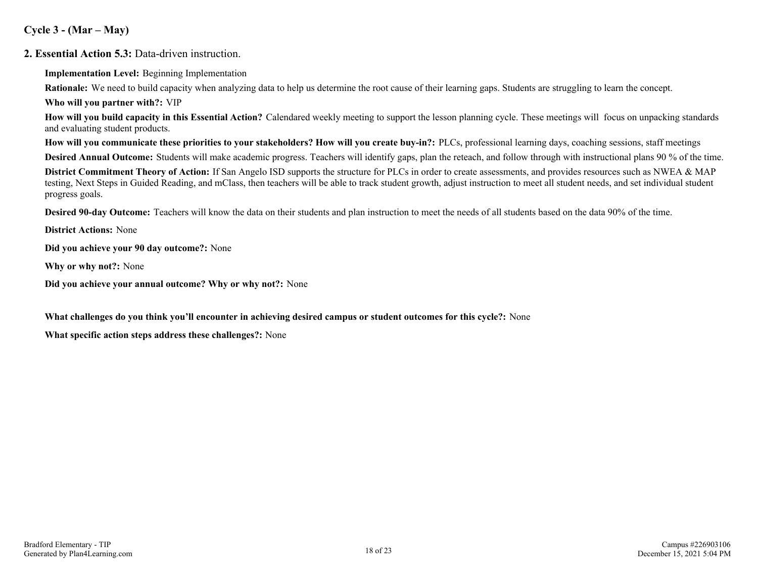**Cycle 3 - (Mar – May)**

**2. Essential Action 5.3:** Data-driven instruction.

**Implementation Level:** Beginning Implementation

**Rationale:** We need to build capacity when analyzing data to help us determine the root cause of their learning gaps. Students are struggling to learn the concept.

**Who will you partner with?:** VIP

**How will you build capacity in this Essential Action?** Calendared weekly meeting to support the lesson planning cycle. These meetings will focus on unpacking standards and evaluating student products.

**How will you communicate these priorities to your stakeholders? How will you create buy-in?:** PLCs, professional learning days, coaching sessions, staff meetings

**Desired Annual Outcome:** Students will make academic progress. Teachers will identify gaps, plan the reteach, and follow through with instructional plans 90 % of the time.

**District Commitment Theory of Action:** If San Angelo ISD supports the structure for PLCs in order to create assessments, and provides resources such as NWEA & MAP testing, Next Steps in Guided Reading, and mClass, then teachers will be able to track student growth, adjust instruction to meet all student needs, and set individual student progress goals.

**Desired 90-day Outcome:** Teachers will know the data on their students and plan instruction to meet the needs of all students based on the data 90% of the time.

**District Actions:** None

**Did you achieve your 90 day outcome?:** None

**Why or why not?:** None

**Did you achieve your annual outcome? Why or why not?:** None

**What challenges do you think you'll encounter in achieving desired campus or student outcomes for this cycle?:** None

**What specific action steps address these challenges?:** None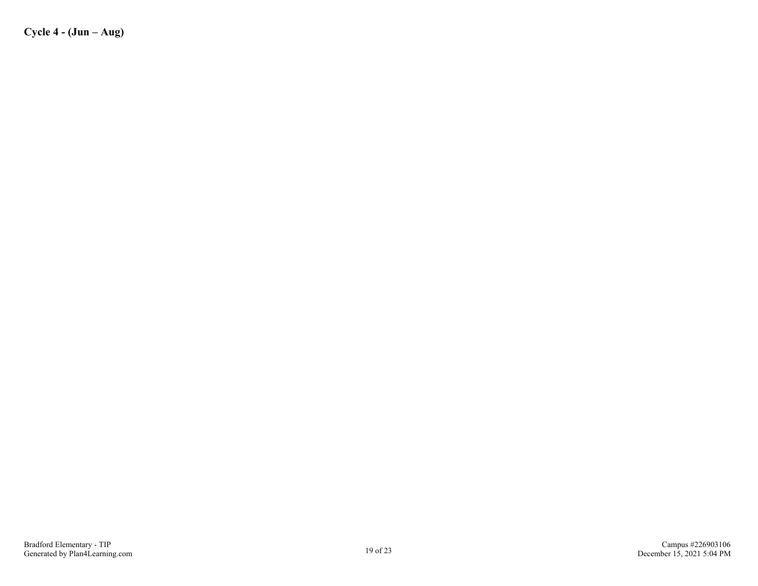**Cycle 4 - (Jun – Aug)**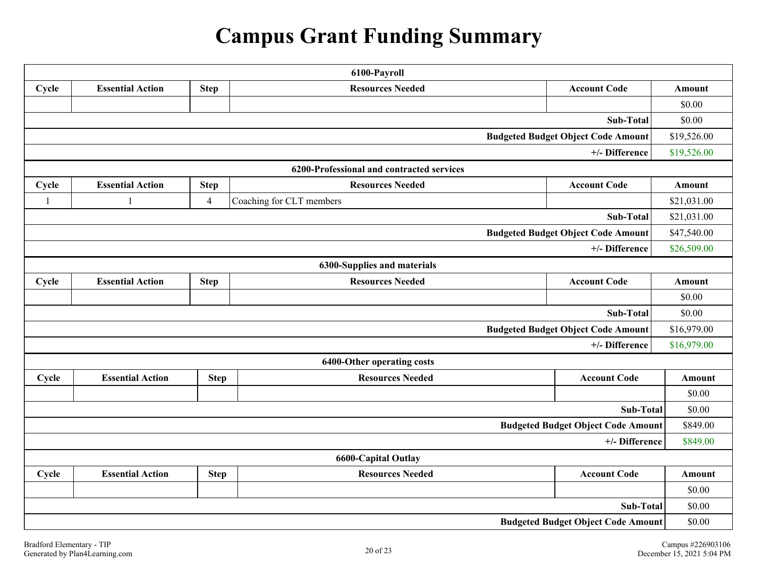# **Campus Grant Funding Summary**

| 6100-Payroll                                             |                                                                                          |                |                                           |                                           |               |  |  |  |
|----------------------------------------------------------|------------------------------------------------------------------------------------------|----------------|-------------------------------------------|-------------------------------------------|---------------|--|--|--|
| Cycle                                                    | <b>Essential Action</b>                                                                  | <b>Step</b>    | <b>Resources Needed</b>                   | <b>Account Code</b>                       | <b>Amount</b> |  |  |  |
|                                                          |                                                                                          |                |                                           |                                           |               |  |  |  |
| Sub-Total                                                |                                                                                          |                |                                           |                                           |               |  |  |  |
| <b>Budgeted Budget Object Code Amount</b><br>\$19,526.00 |                                                                                          |                |                                           |                                           |               |  |  |  |
|                                                          |                                                                                          |                |                                           | +/- Difference                            | \$19,526.00   |  |  |  |
|                                                          |                                                                                          |                | 6200-Professional and contracted services |                                           |               |  |  |  |
| Cycle                                                    | <b>Essential Action</b>                                                                  | <b>Step</b>    | <b>Resources Needed</b>                   | <b>Account Code</b>                       | <b>Amount</b> |  |  |  |
| $\overline{1}$                                           | 1                                                                                        | $\overline{4}$ | Coaching for CLT members                  |                                           | \$21,031.00   |  |  |  |
|                                                          |                                                                                          |                |                                           | Sub-Total                                 | \$21,031.00   |  |  |  |
|                                                          |                                                                                          |                |                                           | <b>Budgeted Budget Object Code Amount</b> | \$47,540.00   |  |  |  |
|                                                          |                                                                                          |                |                                           | +/- Difference                            | \$26,509.00   |  |  |  |
|                                                          |                                                                                          |                | 6300-Supplies and materials               |                                           |               |  |  |  |
| Cycle                                                    | <b>Essential Action</b><br><b>Resources Needed</b><br><b>Account Code</b><br><b>Step</b> |                |                                           |                                           |               |  |  |  |
|                                                          |                                                                                          |                |                                           |                                           |               |  |  |  |
| Sub-Total                                                |                                                                                          |                |                                           |                                           |               |  |  |  |
| <b>Budgeted Budget Object Code Amount</b>                |                                                                                          |                |                                           |                                           |               |  |  |  |
| +/- Difference                                           |                                                                                          |                |                                           |                                           |               |  |  |  |
|                                                          |                                                                                          |                | 6400-Other operating costs                |                                           |               |  |  |  |
| Cycle                                                    | <b>Essential Action</b>                                                                  | <b>Step</b>    | <b>Resources Needed</b>                   | <b>Account Code</b>                       | <b>Amount</b> |  |  |  |
|                                                          |                                                                                          |                |                                           |                                           | \$0.00        |  |  |  |
|                                                          |                                                                                          |                |                                           | Sub-Total                                 | \$0.00        |  |  |  |
|                                                          |                                                                                          |                |                                           | <b>Budgeted Budget Object Code Amount</b> | \$849.00      |  |  |  |
|                                                          |                                                                                          |                |                                           | +/- Difference                            | \$849.00      |  |  |  |
|                                                          |                                                                                          |                | <b>6600-Capital Outlay</b>                |                                           |               |  |  |  |
| Cycle                                                    | <b>Essential Action</b>                                                                  | <b>Step</b>    | <b>Resources Needed</b>                   | <b>Account Code</b>                       | <b>Amount</b> |  |  |  |
|                                                          |                                                                                          |                |                                           |                                           | \$0.00        |  |  |  |
|                                                          |                                                                                          |                |                                           | Sub-Total                                 | \$0.00        |  |  |  |
|                                                          |                                                                                          |                |                                           | <b>Budgeted Budget Object Code Amount</b> | \$0.00        |  |  |  |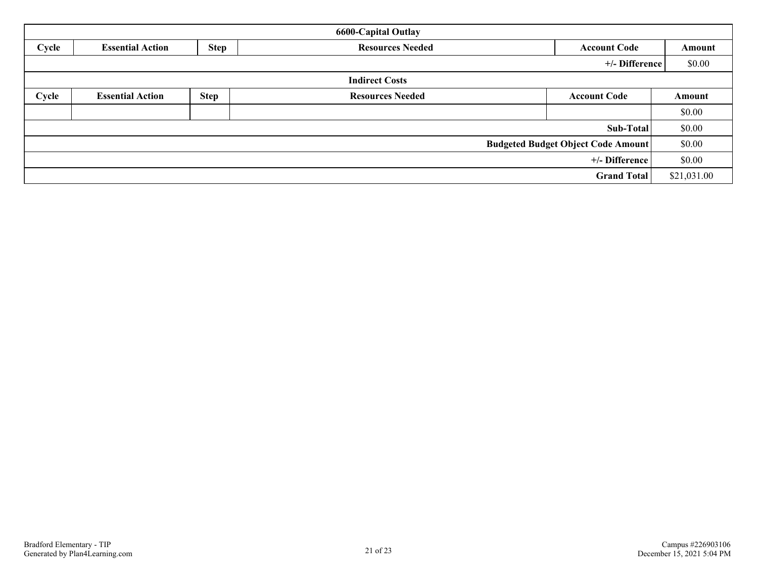| <b>6600-Capital Outlay</b>                |                                                                                          |             |                         |                     |             |  |  |  |
|-------------------------------------------|------------------------------------------------------------------------------------------|-------------|-------------------------|---------------------|-------------|--|--|--|
| Cycle                                     | <b>Step</b><br><b>Essential Action</b><br><b>Resources Needed</b><br><b>Account Code</b> |             |                         |                     |             |  |  |  |
|                                           |                                                                                          |             |                         | +/- Difference      | \$0.00      |  |  |  |
|                                           |                                                                                          |             | <b>Indirect Costs</b>   |                     |             |  |  |  |
| Cycle                                     | <b>Essential Action</b>                                                                  | <b>Step</b> | <b>Resources Needed</b> | <b>Account Code</b> | Amount      |  |  |  |
|                                           |                                                                                          |             |                         |                     | \$0.00      |  |  |  |
|                                           |                                                                                          |             |                         | Sub-Total           | \$0.00      |  |  |  |
| <b>Budgeted Budget Object Code Amount</b> |                                                                                          |             |                         |                     |             |  |  |  |
| +/- Difference                            |                                                                                          |             |                         |                     |             |  |  |  |
|                                           |                                                                                          |             |                         | <b>Grand Total</b>  | \$21,031.00 |  |  |  |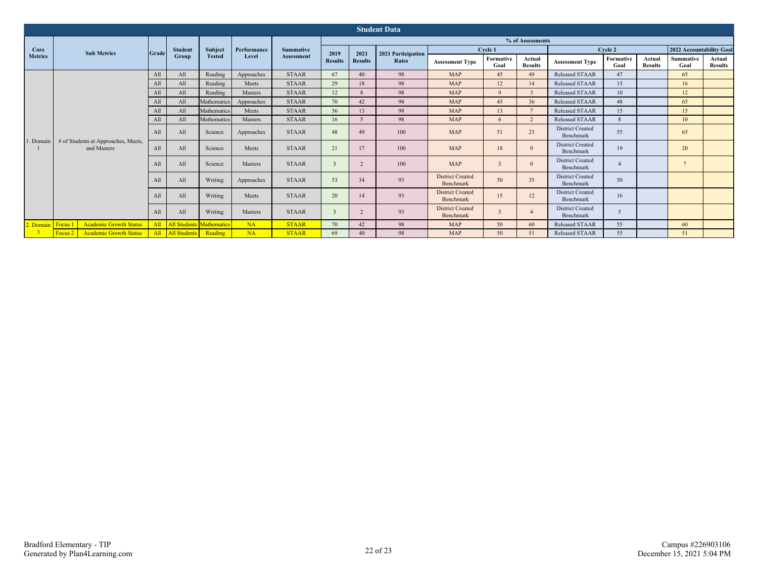|                   | <b>Student Data</b>                                 |              |                     |                                 |              |                   |                          |                          |                                      |                                      |                         |                                      |                                      |                   |                          |                          |                          |
|-------------------|-----------------------------------------------------|--------------|---------------------|---------------------------------|--------------|-------------------|--------------------------|--------------------------|--------------------------------------|--------------------------------------|-------------------------|--------------------------------------|--------------------------------------|-------------------|--------------------------|--------------------------|--------------------------|
|                   |                                                     |              |                     |                                 |              |                   |                          |                          |                                      |                                      |                         | % of Assessments                     |                                      |                   |                          |                          |                          |
| Core              | <b>Sub Metrics</b>                                  | <b>Grade</b> | <b>Student</b>      | Subject                         | Performance  | <b>Summative</b>  | 2019                     | 2021                     | 2021 Participation                   |                                      | Cycle 1                 |                                      |                                      | Cycle 2           |                          | 2022 Accountability Goal |                          |
| <b>Metrics</b>    |                                                     |              | <b>Group</b>        | <b>Tested</b>                   | Level        | <b>Assessment</b> | <b>Results</b>           | <b>Results</b>           | Rates                                | <b>Assessment Type</b>               | Formative<br>Goal       | Actual<br><b>Results</b>             | <b>Assessment Type</b>               | Formative<br>Goal | Actual<br><b>Results</b> | <b>Summative</b><br>Goal | Actual<br><b>Results</b> |
|                   |                                                     | All          | All                 | Reading                         | Approaches   | <b>STAAR</b>      | 67                       | 40                       | 98                                   | <b>MAP</b>                           | 45                      | 49                                   | <b>Released STAAR</b>                | 47                |                          | 65                       |                          |
|                   |                                                     | All          | All                 | Reading                         | Meets        | <b>STAAR</b>      | 29                       | 18                       | 98                                   | <b>MAP</b>                           | 12                      | 14                                   | <b>Released STAAR</b>                | 15                |                          | 16                       |                          |
|                   |                                                     | All          | All                 | Reading                         | Masters      | <b>STAAR</b>      | 12                       | $\mathbf{R}$             | 98                                   | <b>MAP</b>                           | $\mathbf{Q}$            | $\overline{\mathbf{3}}$              | <b>Released STAAR</b>                | 10                |                          | 12                       |                          |
|                   |                                                     | A11          | A11                 | Mathematics                     | Approaches   | <b>STAAR</b>      | 70                       | 42                       | 98                                   | <b>MAP</b>                           | 45                      | 36                                   | Released STAAR                       | 48                |                          | 65                       |                          |
|                   |                                                     | All          | All                 | Mathematics                     | Meets        | <b>STAAR</b>      | 36                       | 13                       | 98                                   | <b>MAP</b>                           | 13                      |                                      | <b>Released STAAR</b>                | 15                |                          | 15                       |                          |
|                   |                                                     | All          | All                 | Mathematics                     | Masters      | <b>STAAR</b>      | 16                       | $\overline{\phantom{0}}$ | 98                                   | <b>MAP</b>                           | 6                       | $\overline{2}$                       | Released STAAR                       | $\mathbf{R}$      |                          | 10                       |                          |
|                   |                                                     | All          | All                 | Science                         | Approaches   | <b>STAAR</b>      | 48                       | 49                       | 100                                  | <b>MAP</b>                           | 51                      | 23                                   | <b>District Created</b><br>Benchmark | 55                |                          | 65                       |                          |
| 1. Domain         | # of Students at Approaches, Meets,<br>and Masters  | All          | All                 | Science                         | Meets        | <b>STAAR</b>      | 21                       | 17                       | 100                                  | <b>MAP</b>                           | 18                      |                                      | <b>District Created</b><br>Benchmark | 19                |                          | 20                       |                          |
|                   |                                                     | A11          | All                 | Science                         | Masters      | <b>STAAR</b>      | $\overline{\mathcal{E}}$ | $\overline{2}$           | 100                                  | <b>MAP</b>                           | $\overline{3}$          |                                      | <b>District Created</b><br>Benchmark | $\overline{A}$    |                          | 7                        |                          |
|                   |                                                     | All          | All                 | Writing                         | Approaches   | <b>STAAR</b>      | 53                       | 34                       | 93                                   | <b>District Created</b><br>Benchmark | 50                      | 35                                   | <b>District Created</b><br>Benchmark | 50                |                          |                          |                          |
|                   | All                                                 | All          | Writing             | Meets                           | <b>STAAR</b> | 20                | 14                       | 93                       | <b>District Created</b><br>Benchmark | 15                                   | 12                      | <b>District Created</b><br>Benchmark | 16                                   |                   |                          |                          |                          |
|                   |                                                     | All          | All                 | Writing                         | Masters      | <b>STAAR</b>      | $\overline{\mathcal{E}}$ | $\overline{2}$           | 93                                   | <b>District Created</b><br>Benchmark | $\overline{\mathbf{3}}$ | $\overline{A}$                       | <b>District Created</b><br>Benchmark | 5                 |                          |                          |                          |
| 2. Domain Focus 1 | <b>Academic Growth Status</b>                       | All          |                     | <b>All Students Mathematics</b> | NA           | <b>STAAR</b>      | 70                       | 42                       | 98                                   | <b>MAP</b>                           | 50                      | 60                                   | <b>Released STAAR</b>                | 55                |                          | 60                       |                          |
|                   | <b>Academic Growth Status</b><br>Focus <sub>2</sub> | All          | <b>All Students</b> | Reading                         | NA           | <b>STAAR</b>      | 69                       | 40                       | 98                                   | <b>MAP</b>                           | 50                      | 51                                   | <b>Released STAAR</b>                | 55                |                          | 51                       |                          |